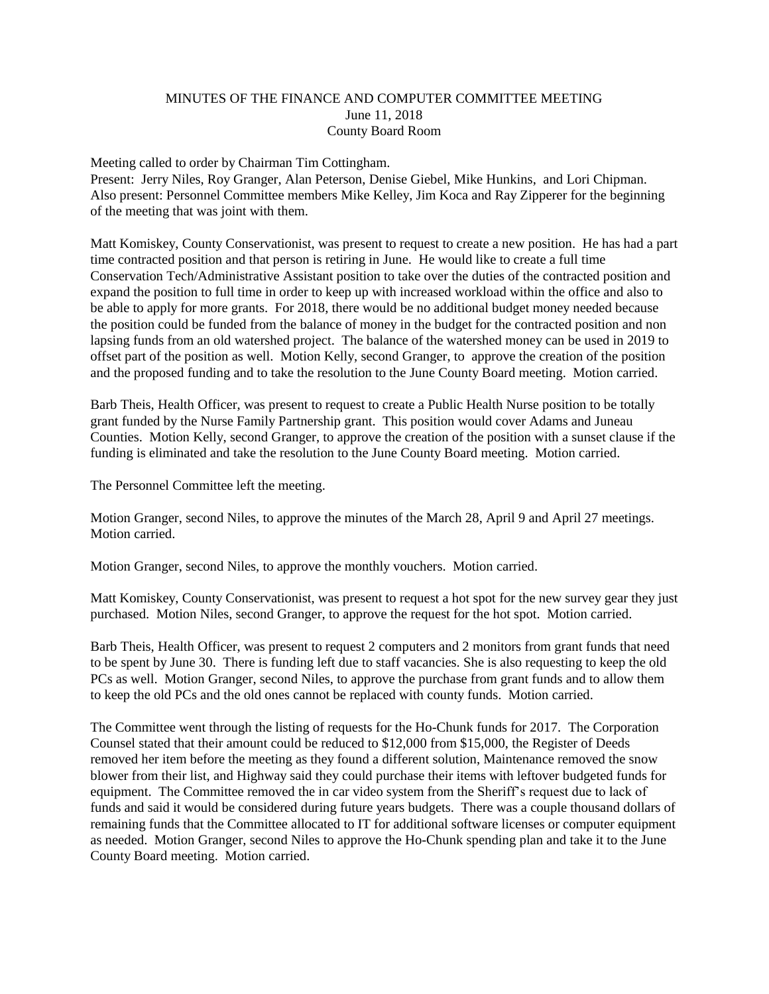## MINUTES OF THE FINANCE AND COMPUTER COMMITTEE MEETING June 11, 2018 County Board Room

## Meeting called to order by Chairman Tim Cottingham.

Present: Jerry Niles, Roy Granger, Alan Peterson, Denise Giebel, Mike Hunkins, and Lori Chipman. Also present: Personnel Committee members Mike Kelley, Jim Koca and Ray Zipperer for the beginning of the meeting that was joint with them.

Matt Komiskey, County Conservationist, was present to request to create a new position. He has had a part time contracted position and that person is retiring in June. He would like to create a full time Conservation Tech/Administrative Assistant position to take over the duties of the contracted position and expand the position to full time in order to keep up with increased workload within the office and also to be able to apply for more grants. For 2018, there would be no additional budget money needed because the position could be funded from the balance of money in the budget for the contracted position and non lapsing funds from an old watershed project. The balance of the watershed money can be used in 2019 to offset part of the position as well. Motion Kelly, second Granger, to approve the creation of the position and the proposed funding and to take the resolution to the June County Board meeting. Motion carried.

Barb Theis, Health Officer, was present to request to create a Public Health Nurse position to be totally grant funded by the Nurse Family Partnership grant. This position would cover Adams and Juneau Counties. Motion Kelly, second Granger, to approve the creation of the position with a sunset clause if the funding is eliminated and take the resolution to the June County Board meeting. Motion carried.

The Personnel Committee left the meeting.

Motion Granger, second Niles, to approve the minutes of the March 28, April 9 and April 27 meetings. Motion carried.

Motion Granger, second Niles, to approve the monthly vouchers. Motion carried.

Matt Komiskey, County Conservationist, was present to request a hot spot for the new survey gear they just purchased. Motion Niles, second Granger, to approve the request for the hot spot. Motion carried.

Barb Theis, Health Officer, was present to request 2 computers and 2 monitors from grant funds that need to be spent by June 30. There is funding left due to staff vacancies. She is also requesting to keep the old PCs as well. Motion Granger, second Niles, to approve the purchase from grant funds and to allow them to keep the old PCs and the old ones cannot be replaced with county funds. Motion carried.

The Committee went through the listing of requests for the Ho-Chunk funds for 2017. The Corporation Counsel stated that their amount could be reduced to \$12,000 from \$15,000, the Register of Deeds removed her item before the meeting as they found a different solution, Maintenance removed the snow blower from their list, and Highway said they could purchase their items with leftover budgeted funds for equipment. The Committee removed the in car video system from the Sheriff's request due to lack of funds and said it would be considered during future years budgets. There was a couple thousand dollars of remaining funds that the Committee allocated to IT for additional software licenses or computer equipment as needed. Motion Granger, second Niles to approve the Ho-Chunk spending plan and take it to the June County Board meeting. Motion carried.